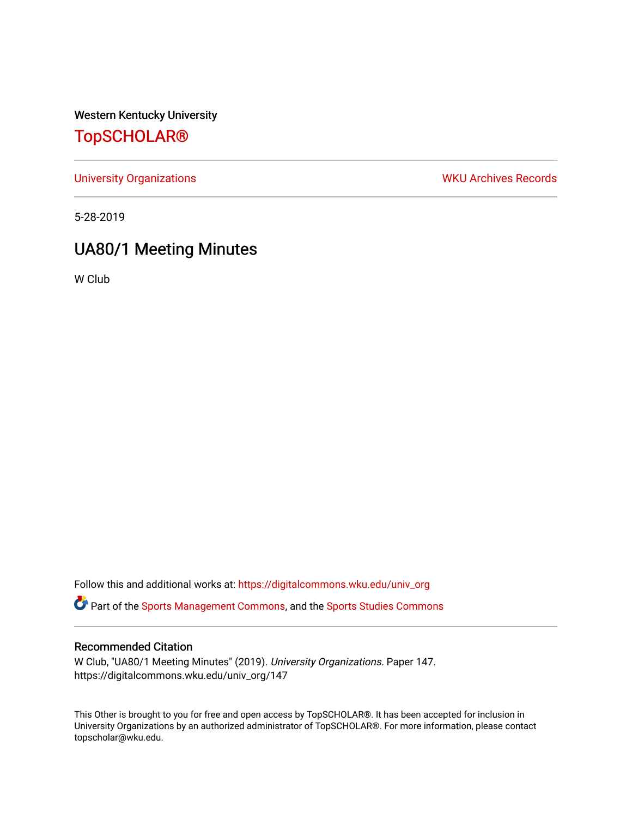Western Kentucky University

# [TopSCHOLAR®](https://digitalcommons.wku.edu/)

[University Organizations](https://digitalcommons.wku.edu/univ_org) **WKU Archives Records** 

5-28-2019

# UA80/1 Meeting Minutes

W Club

Follow this and additional works at: [https://digitalcommons.wku.edu/univ\\_org](https://digitalcommons.wku.edu/univ_org?utm_source=digitalcommons.wku.edu%2Funiv_org%2F147&utm_medium=PDF&utm_campaign=PDFCoverPages) 

**C** Part of the [Sports Management Commons](http://network.bepress.com/hgg/discipline/1193?utm_source=digitalcommons.wku.edu%2Funiv_org%2F147&utm_medium=PDF&utm_campaign=PDFCoverPages), and the [Sports Studies Commons](http://network.bepress.com/hgg/discipline/1198?utm_source=digitalcommons.wku.edu%2Funiv_org%2F147&utm_medium=PDF&utm_campaign=PDFCoverPages)

### Recommended Citation

W Club, "UA80/1 Meeting Minutes" (2019). University Organizations. Paper 147. https://digitalcommons.wku.edu/univ\_org/147

This Other is brought to you for free and open access by TopSCHOLAR®. It has been accepted for inclusion in University Organizations by an authorized administrator of TopSCHOLAR®. For more information, please contact topscholar@wku.edu.